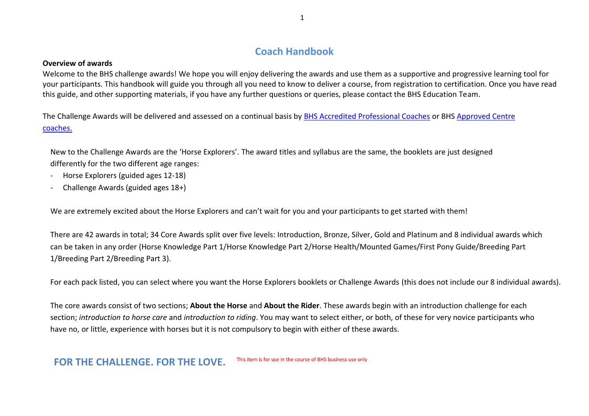# **Coach Handbook**

#### **Overview of awards**

Welcome to the BHS challenge awards! We hope you will enjoy delivering the awards and use them as a supportive and progressive learning tool for your participants. This handbook will guide you through all you need to know to deliver a course, from registration to certification. Once you have read this guide, and other supporting materials, if you have any further questions or queries, please contact the BHS Education Team.

The Challenge Awards will be delivered and assessed on a continual basis by [BHS Accredited Professional Coaches](https://www.bhs.org.uk/professionals/accredited-professionals) or BHS [Approved Centre](https://pathways.bhs.org.uk/work-with-us/accredited-professional-coaches/)  [coaches.](https://pathways.bhs.org.uk/work-with-us/accredited-professional-coaches/)

New to the Challenge Awards are the 'Horse Explorers'. The award titles and syllabus are the same, the booklets are just designed differently for the two different age ranges:

- Horse Explorers (guided ages 12-18)
- Challenge Awards (guided ages 18+)

We are extremely excited about the Horse Explorers and can't wait for you and your participants to get started with them!

There are 42 awards in total; 34 Core Awards split over five levels: Introduction, Bronze, Silver, Gold and Platinum and 8 individual awards which can be taken in any order (Horse Knowledge Part 1/Horse Knowledge Part 2/Horse Health/Mounted Games/First Pony Guide/Breeding Part 1/Breeding Part 2/Breeding Part 3).

For each pack listed, you can select where you want the Horse Explorers booklets or Challenge Awards (this does not include our 8 individual awards).

The core awards consist of two sections; **About the Horse** and **About the Rider**. These awards begin with an introduction challenge for each section; *introduction to horse care* and *introduction to riding*. You may want to select either, or both, of these for very novice participants who have no, or little, experience with horses but it is not compulsory to begin with either of these awards.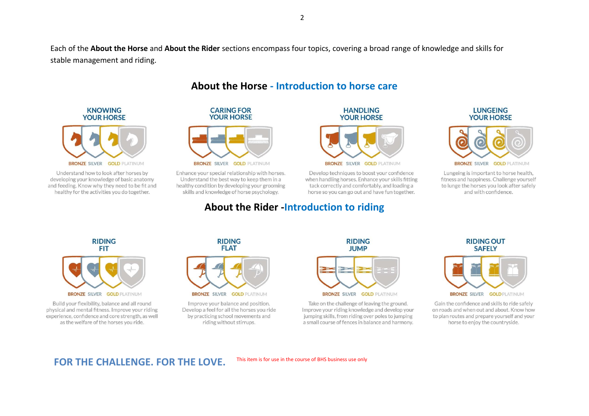Each of the **About the Horse** and **About the Rider** sections encompass four topics, covering a broad range of knowledge and skills for stable management and riding.



**KNOWING** 

**YOUR HORSE** 

Understand how to look after horses by developing your knowledge of basic anatomy and feeding. Know why they need to be fit and healthy for the activities you do together.



Enhance your special relationship with horses. Understand the best way to keep them in a healthy condition by developing your grooming skills and knowledge of horse psychology.



Develop techniques to boost your confidence when handling horses. Enhance your skills fitting tack correctly and comfortably, and loading a horse so you can go out and have fun together.

# **About the Rider -Introduction to riding**

#### **LUNGEING YOUR HORSE**



Lungeing is important to horse health, fitness and happiness. Challenge yourself to lunge the horses you look after safely and with confidence.



Build your flexibility, balance and all round physical and mental fitness. Improve your riding experience, confidence and core strength, as well as the welfare of the horses you ride.



**BRONZE SILVER GOLD PLATINUM** 

Improve your balance and position. Develop a feel for all the horses you ride by practicing school movements and riding without stirrups.



Take on the challenge of leaving the ground. Improve your riding knowledge and develop your jumping skills, from riding over poles to jumping a small course of fences in balance and harmony.





Gain the confidence and skills to ride safely on roads and when out and about. Know how to plan routes and prepare yourself and your horse to enjoy the countryside.

# FOR THE CHALLENGE. FOR THE LOVE. This item is for use in the course of BHS business use only

**About the Horse - Introduction to horse care**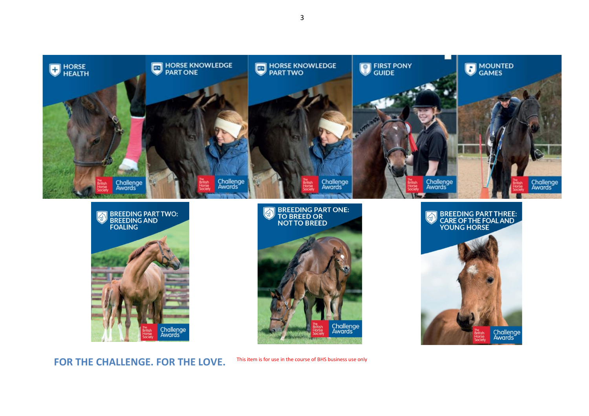







FOR THE CHALLENGE. FOR THE LOVE. This item is for use in the course of BHS business use only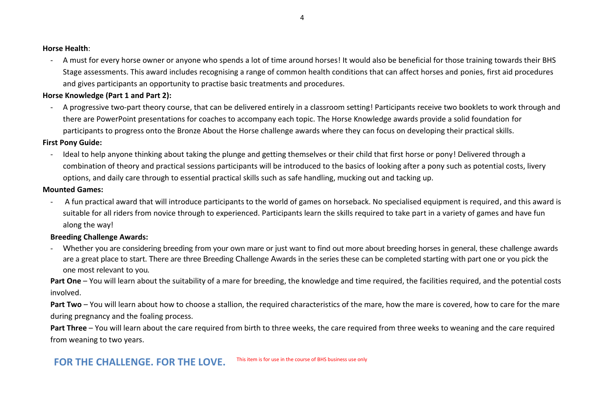#### **Horse Health**:

- A must for every horse owner or anyone who spends a lot of time around horses! It would also be beneficial for those training towards their BHS Stage assessments. This award includes recognising a range of common health conditions that can affect horses and ponies, first aid procedures and gives participants an opportunity to practise basic treatments and procedures.

## **Horse Knowledge (Part 1 and Part 2):**

- A progressive two-part theory course, that can be delivered entirely in a classroom setting! Participants receive two booklets to work through and there are PowerPoint presentations for coaches to accompany each topic. The Horse Knowledge awards provide a solid foundation for participants to progress onto the Bronze About the Horse challenge awards where they can focus on developing their practical skills.

## **First Pony Guide:**

- Ideal to help anyone thinking about taking the plunge and getting themselves or their child that first horse or pony! Delivered through a combination of theory and practical sessions participants will be introduced to the basics of looking after a pony such as potential costs, livery options, and daily care through to essential practical skills such as safe handling, mucking out and tacking up.

## **Mounted Games:**

- A fun practical award that will introduce participants to the world of games on horseback. No specialised equipment is required, and this award is suitable for all riders from novice through to experienced. Participants learn the skills required to take part in a variety of games and have fun along the way!

# **Breeding Challenge Awards:**

- Whether you are considering breeding from your own mare or just want to find out more about breeding horses in general, these challenge awards are a great place to start. There are three Breeding Challenge Awards in the series these can be completed starting with part one or you pick the one most relevant to you.

Part One – You will learn about the suitability of a mare for breeding, the knowledge and time required, the facilities required, and the potential costs involved.

**Part Two** – You will learn about how to choose a stallion, the required characteristics of the mare, how the mare is covered, how to care for the mare during pregnancy and the foaling process.

**Part Three** – You will learn about the care required from birth to three weeks, the care required from three weeks to weaning and the care required from weaning to two years.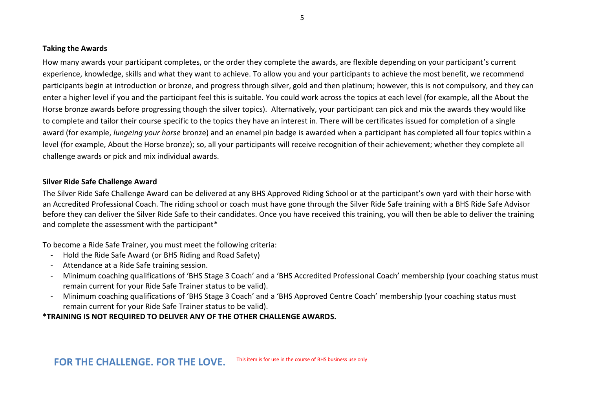#### **Taking the Awards**

How many awards your participant completes, or the order they complete the awards, are flexible depending on your participant's current experience, knowledge, skills and what they want to achieve. To allow you and your participants to achieve the most benefit, we recommend participants begin at introduction or bronze, and progress through silver, gold and then platinum; however, this is not compulsory, and they can enter a higher level if you and the participant feel this is suitable. You could work across the topics at each level (for example, all the About the Horse bronze awards before progressing though the silver topics). Alternatively, your participant can pick and mix the awards they would like to complete and tailor their course specific to the topics they have an interest in. There will be certificates issued for completion of a single award (for example, *lungeing your horse* bronze) and an enamel pin badge is awarded when a participant has completed all four topics within a level (for example, About the Horse bronze); so, all your participants will receive recognition of their achievement; whether they complete all challenge awards or pick and mix individual awards.

#### **Silver Ride Safe Challenge Award**

The Silver Ride Safe Challenge Award can be delivered at any BHS Approved Riding School or at the participant's own yard with their horse with an Accredited Professional Coach. The riding school or coach must have gone through the Silver Ride Safe training with a BHS Ride Safe Advisor before they can deliver the Silver Ride Safe to their candidates. Once you have received this training, you will then be able to deliver the training and complete the assessment with the participant\*

To become a Ride Safe Trainer, you must meet the following criteria:

- Hold the Ride Safe Award (or BHS Riding and Road Safety)
- Attendance at a Ride Safe training session.
- Minimum coaching qualifications of 'BHS Stage 3 Coach' and a 'BHS Accredited Professional Coach' membership (your coaching status must remain current for your Ride Safe Trainer status to be valid).
- Minimum coaching qualifications of 'BHS Stage 3 Coach' and a 'BHS Approved Centre Coach' membership (your coaching status must remain current for your Ride Safe Trainer status to be valid).

**\*TRAINING IS NOT REQUIRED TO DELIVER ANY OF THE OTHER CHALLENGE AWARDS.**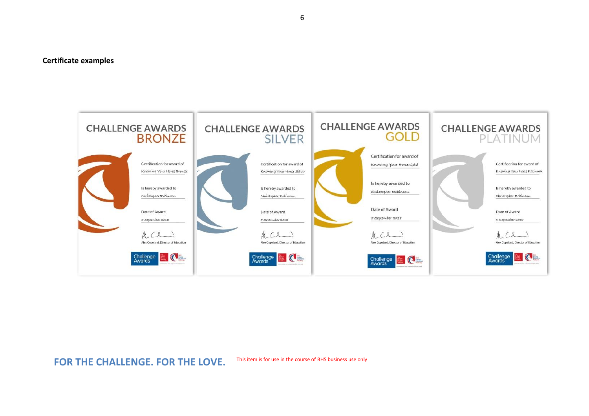#### **Certificate examples**



# FOR THE CHALLENGE. FOR THE LOVE. This item is for use in the course of BHS business use only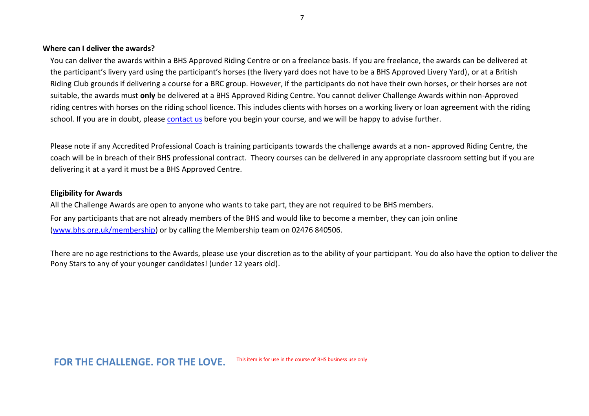#### **Where can I deliver the awards?**

You can deliver the awards within a BHS Approved Riding Centre or on a freelance basis. If you are freelance, the awards can be delivered at the participant's livery yard using the participant's horses (the livery yard does not have to be a BHS Approved Livery Yard), or at a British Riding Club grounds if delivering a course for a BRC group. However, if the participants do not have their own horses, or their horses are not suitable, the awards must **only** be delivered at a BHS Approved Riding Centre. You cannot deliver Challenge Awards within non-Approved riding centres with horses on the riding school licence. This includes clients with horses on a working livery or loan agreement with the riding school. If you are in doubt, please [contact us](https://pathways.bhs.org.uk/why-the-bhs/contact-us/) before you begin your course, and we will be happy to advise further.

Please note if any Accredited Professional Coach is training participants towards the challenge awards at a non- approved Riding Centre, the coach will be in breach of their BHS professional contract. Theory courses can be delivered in any appropriate classroom setting but if you are delivering it at a yard it must be a BHS Approved Centre.

#### **Eligibility for Awards**

All the Challenge Awards are open to anyone who wants to take part, they are not required to be BHS members. For any participants that are not already members of the BHS and would like to become a member, they can join online [\(www.bhs.org.uk/membership\)](http://www.bhs.org.uk/membership) or by calling the Membership team on 02476 840506.

There are no age restrictions to the Awards, please use your discretion as to the ability of your participant. You do also have the option to deliver the Pony Stars to any of your younger candidates! (under 12 years old).

# FOR THE CHALLENGE. FOR THE LOVE. This item is for use in the course of BHS business use only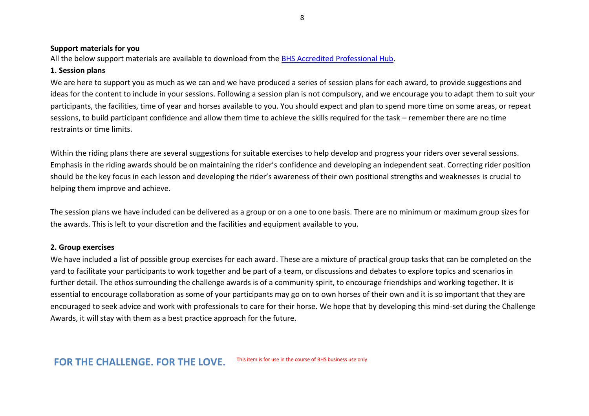8

#### **Support materials for you**

All the below support materials are available to download from the [BHS Accredited Professional Hub.](https://pathways.bhs.org.uk/accredited-professional-hub/)

### **1. Session plans**

We are here to support you as much as we can and we have produced a series of session plans for each award, to provide suggestions and ideas for the content to include in your sessions. Following a session plan is not compulsory, and we encourage you to adapt them to suit your participants, the facilities, time of year and horses available to you. You should expect and plan to spend more time on some areas, or repeat sessions, to build participant confidence and allow them time to achieve the skills required for the task – remember there are no time restraints or time limits.

Within the riding plans there are several suggestions for suitable exercises to help develop and progress your riders over several sessions. Emphasis in the riding awards should be on maintaining the rider's confidence and developing an independent seat. Correcting rider position should be the key focus in each lesson and developing the rider's awareness of their own positional strengths and weaknesses is crucial to helping them improve and achieve.

The session plans we have included can be delivered as a group or on a one to one basis. There are no minimum or maximum group sizes for the awards. This is left to your discretion and the facilities and equipment available to you.

# **2. Group exercises**

We have included a list of possible group exercises for each award. These are a mixture of practical group tasks that can be completed on the yard to facilitate your participants to work together and be part of a team, or discussions and debates to explore topics and scenarios in further detail. The ethos surrounding the challenge awards is of a community spirit, to encourage friendships and working together. It is essential to encourage collaboration as some of your participants may go on to own horses of their own and it is so important that they are encouraged to seek advice and work with professionals to care for their horse. We hope that by developing this mind-set during the Challenge Awards, it will stay with them as a best practice approach for the future.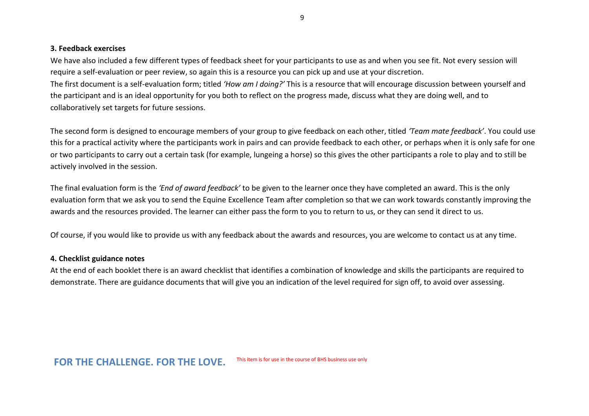#### **3. Feedback exercises**

We have also included a few different types of feedback sheet for your participants to use as and when you see fit. Not every session will require a self-evaluation or peer review, so again this is a resource you can pick up and use at your discretion. The first document is a self-evaluation form; titled *'How am I doing?'* This is a resource that will encourage discussion between yourself and the participant and is an ideal opportunity for you both to reflect on the progress made, discuss what they are doing well, and to collaboratively set targets for future sessions.

The second form is designed to encourage members of your group to give feedback on each other, titled *'Team mate feedback'*. You could use this for a practical activity where the participants work in pairs and can provide feedback to each other, or perhaps when it is only safe for one or two participants to carry out a certain task (for example, lungeing a horse) so this gives the other participants a role to play and to still be actively involved in the session.

The final evaluation form is the *'End of award feedback'* to be given to the learner once they have completed an award. This is the only evaluation form that we ask you to send the Equine Excellence Team after completion so that we can work towards constantly improving the awards and the resources provided. The learner can either pass the form to you to return to us, or they can send it direct to us.

Of course, if you would like to provide us with any feedback about the awards and resources, you are welcome to contact us at any time.

### **4. Checklist guidance notes**

At the end of each booklet there is an award checklist that identifies a combination of knowledge and skills the participants are required to demonstrate. There are guidance documents that will give you an indication of the level required for sign off, to avoid over assessing.

FOR THE CHALLENGE. FOR THE LOVE. This item is for use in the course of BHS business use only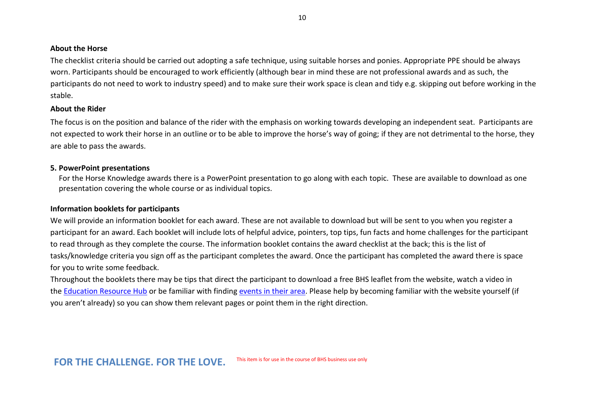#### **About the Horse**

The checklist criteria should be carried out adopting a safe technique, using suitable horses and ponies. Appropriate PPE should be always worn. Participants should be encouraged to work efficiently (although bear in mind these are not professional awards and as such, the participants do not need to work to industry speed) and to make sure their work space is clean and tidy e.g. skipping out before working in the stable.

#### **About the Rider**

The focus is on the position and balance of the rider with the emphasis on working towards developing an independent seat. Participants are not expected to work their horse in an outline or to be able to improve the horse's way of going; if they are not detrimental to the horse, they are able to pass the awards.

#### **5. PowerPoint presentations**

For the Horse Knowledge awards there is a PowerPoint presentation to go along with each topic. These are available to download as one presentation covering the whole course or as individual topics.

#### **Information booklets for participants**

We will provide an information booklet for each award. These are not available to download but will be sent to you when you register a participant for an award. Each booklet will include lots of helpful advice, pointers, top tips, fun facts and home challenges for the participant to read through as they complete the course. The information booklet contains the award checklist at the back; this is the list of tasks/knowledge criteria you sign off as the participant completes the award. Once the participant has completed the award there is space for you to write some feedback.

Throughout the booklets there may be tips that direct the participant to download a free BHS leaflet from the website, watch a video in the [Education Resource Hub](https://pathways.bhs.org.uk/resource-hub/video-library/) or be familiar with finding [events in their area.](http://www.bhs.org.uk/bhs-in-your-area) Please help by becoming familiar with the website yourself (if you aren't already) so you can show them relevant pages or point them in the right direction.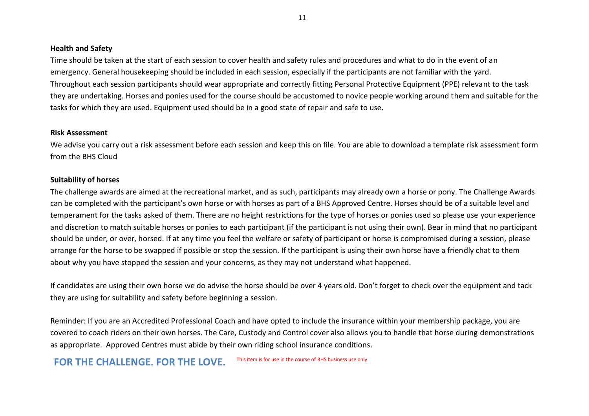#### **Health and Safety**

Time should be taken at the start of each session to cover health and safety rules and procedures and what to do in the event of an emergency. General housekeeping should be included in each session, especially if the participants are not familiar with the yard. Throughout each session participants should wear appropriate and correctly fitting Personal Protective Equipment (PPE) relevant to the task they are undertaking. Horses and ponies used for the course should be accustomed to novice people working around them and suitable for the tasks for which they are used. Equipment used should be in a good state of repair and safe to use.

#### **Risk Assessment**

We advise you carry out a risk assessment before each session and keep this on file. You are able to download a template risk assessment form from the BHS Cloud

#### **Suitability of horses**

The challenge awards are aimed at the recreational market, and as such, participants may already own a horse or pony. The Challenge Awards can be completed with the participant's own horse or with horses as part of a BHS Approved Centre. Horses should be of a suitable level and temperament for the tasks asked of them. There are no height restrictions for the type of horses or ponies used so please use your experience and discretion to match suitable horses or ponies to each participant (if the participant is not using their own). Bear in mind that no participant should be under, or over, horsed. If at any time you feel the welfare or safety of participant or horse is compromised during a session, please arrange for the horse to be swapped if possible or stop the session. If the participant is using their own horse have a friendly chat to them about why you have stopped the session and your concerns, as they may not understand what happened.

If candidates are using their own horse we do advise the horse should be over 4 years old. Don't forget to check over the equipment and tack they are using for suitability and safety before beginning a session.

Reminder: If you are an Accredited Professional Coach and have opted to include the insurance within your membership package, you are covered to coach riders on their own horses. The Care, Custody and Control cover also allows you to handle that horse during demonstrations as appropriate. Approved Centres must abide by their own riding school insurance conditions.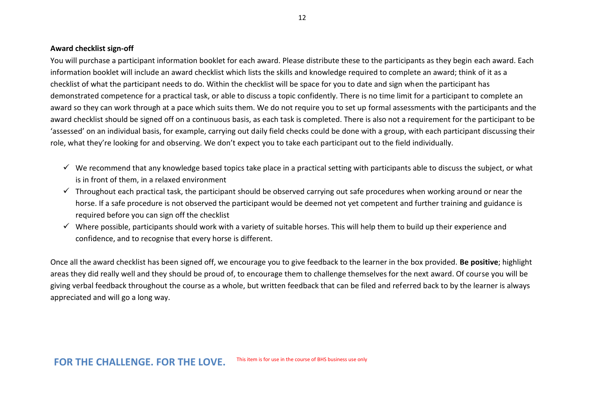#### **Award checklist sign-off**

You will purchase a participant information booklet for each award. Please distribute these to the participants as they begin each award. Each information booklet will include an award checklist which lists the skills and knowledge required to complete an award; think of it as a checklist of what the participant needs to do. Within the checklist will be space for you to date and sign when the participant has demonstrated competence for a practical task, or able to discuss a topic confidently. There is no time limit for a participant to complete an award so they can work through at a pace which suits them. We do not require you to set up formal assessments with the participants and the award checklist should be signed off on a continuous basis, as each task is completed. There is also not a requirement for the participant to be 'assessed' on an individual basis, for example, carrying out daily field checks could be done with a group, with each participant discussing their role, what they're looking for and observing. We don't expect you to take each participant out to the field individually.

- ✓ We recommend that any knowledge based topics take place in a practical setting with participants able to discuss the subject, or what is in front of them, in a relaxed environment
- $\checkmark$  Throughout each practical task, the participant should be observed carrying out safe procedures when working around or near the horse. If a safe procedure is not observed the participant would be deemed not yet competent and further training and guidance is required before you can sign off the checklist
- $\checkmark$  Where possible, participants should work with a variety of suitable horses. This will help them to build up their experience and confidence, and to recognise that every horse is different.

Once all the award checklist has been signed off, we encourage you to give feedback to the learner in the box provided. **Be positive**; highlight areas they did really well and they should be proud of, to encourage them to challenge themselves for the next award. Of course you will be giving verbal feedback throughout the course as a whole, but written feedback that can be filed and referred back to by the learner is always appreciated and will go a long way.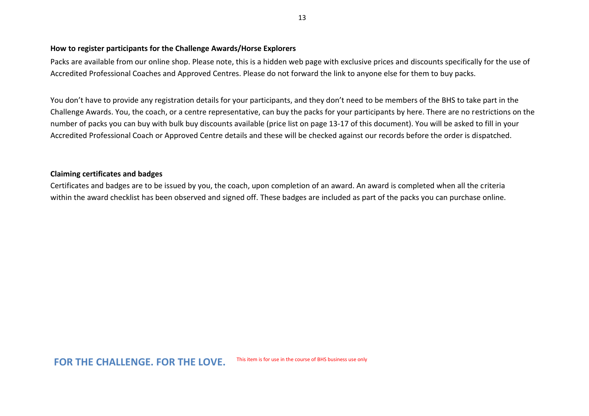#### **How to register participants for the Challenge Awards/Horse Explorers**

Packs are available from our online shop. Please note, this is a hidden web page with exclusive prices and discounts specifically for the use of Accredited Professional Coaches and Approved Centres. Please do not forward the link to anyone else for them to buy packs.

You don't have to provide any registration details for your participants, and they don't need to be members of the BHS to take part in the Challenge Awards. You, the coach, or a centre representative, can buy the packs for your participants by here. There are no restrictions on the number of packs you can buy with bulk buy discounts available (price list on page 13-17 of this document). You will be asked to fill in your Accredited Professional Coach or Approved Centre details and these will be checked against our records before the order is dispatched.

### **Claiming certificates and badges**

Certificates and badges are to be issued by you, the coach, upon completion of an award. An award is completed when all the criteria within the award checklist has been observed and signed off. These badges are included as part of the packs you can purchase online.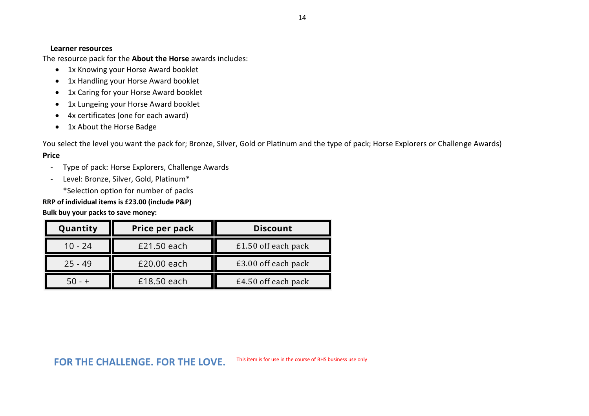The resource pack for the **About the Horse** awards includes:

- 1x Knowing your Horse Award booklet
- 1x Handling your Horse Award booklet
- 1x Caring for your Horse Award booklet
- 1x Lungeing your Horse Award booklet
- 4x certificates (one for each award)
- 1x About the Horse Badge

You select the level you want the pack for; Bronze, Silver, Gold or Platinum and the type of pack; Horse Explorers or Challenge Awards) **Price**

- Type of pack: Horse Explorers, Challenge Awards
- Level: Bronze, Silver, Gold, Platinum\*

\*Selection option for number of packs

**RRP of individual items is £23.00 (include P&P)** 

**Bulk buy your packs to save money:** 

| Quantity  | Price per pack | <b>Discount</b>     |  |
|-----------|----------------|---------------------|--|
| 10 - 24   | £21.50 each    | £1.50 off each pack |  |
| $25 - 49$ | £20.00 each    | £3.00 off each pack |  |
|           | £18.50 each    | £4.50 off each pack |  |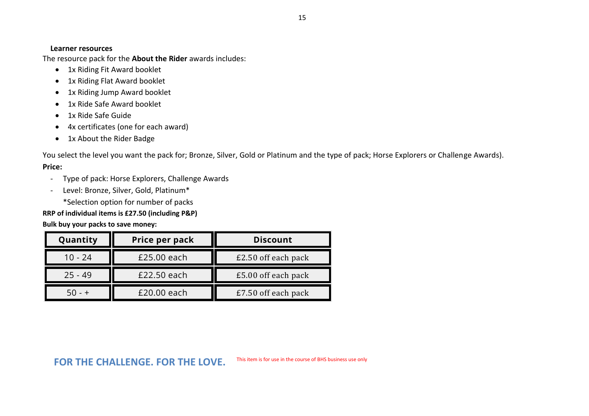The resource pack for the **About the Rider** awards includes:

- 1x Riding Fit Award booklet
- 1x Riding Flat Award booklet
- 1x Riding Jump Award booklet
- 1x Ride Safe Award booklet
- 1x Ride Safe Guide
- 4x certificates (one for each award)
- 1x About the Rider Badge

You select the level you want the pack for; Bronze, Silver, Gold or Platinum and the type of pack; Horse Explorers or Challenge Awards). **Price:**

- Type of pack: Horse Explorers, Challenge Awards
- Level: Bronze, Silver, Gold, Platinum\*

\*Selection option for number of packs

# **RRP of individual items is £27.50 (including P&P)**

# **Bulk buy your packs to save money:**

| Quantity  | Price per pack | <b>Discount</b>     |  |
|-----------|----------------|---------------------|--|
| $10 - 24$ | £25.00 each    | £2.50 off each pack |  |
| $25 - 49$ | £22.50 each    | £5.00 off each pack |  |
| $50 - +$  | £20.00 each    | £7.50 off each pack |  |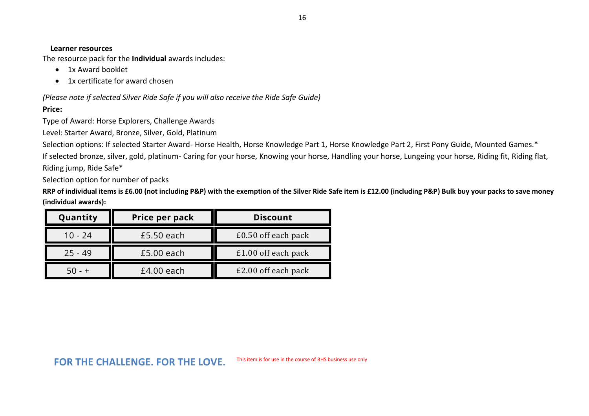The resource pack for the **Individual** awards includes:

- 1x Award booklet
- 1x certificate for award chosen

*(Please note if selected Silver Ride Safe if you will also receive the Ride Safe Guide)*

## **Price:**

Type of Award: Horse Explorers, Challenge Awards

Level: Starter Award, Bronze, Silver, Gold, Platinum

Selection options: If selected Starter Award-Horse Health, Horse Knowledge Part 1, Horse Knowledge Part 2, First Pony Guide, Mounted Games.\* If selected bronze, silver, gold, platinum- Caring for your horse, Knowing your horse, Handling your horse, Lungeing your horse, Riding fit, Riding flat, Riding jump, Ride Safe\*

Selection option for number of packs

**RRP of individual items is £6.00 (not including P&P) with the exemption of the Silver Ride Safe item is £12.00 (including P&P) Bulk buy your packs to save money (individual awards):**

| Quantity  | Price per pack<br><b>Discount</b> |                     |
|-----------|-----------------------------------|---------------------|
| $10 - 24$ | $£5.50$ each                      | £0.50 off each pack |
| $25 - 49$ | £5.00 each                        | £1.00 off each pack |
| $50 - +$  | $£4.00$ each                      | £2.00 off each pack |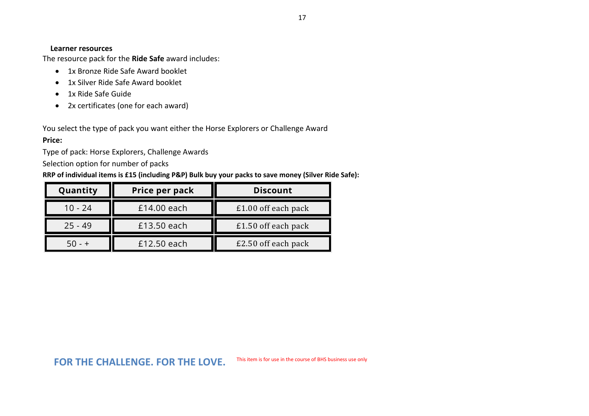The resource pack for the **Ride Safe** award includes:

- 1x Bronze Ride Safe Award booklet
- 1x Silver Ride Safe Award booklet
- 1x Ride Safe Guide
- 2x certificates (one for each award)

You select the type of pack you want either the Horse Explorers or Challenge Award

# **Price:**

Type of pack: Horse Explorers, Challenge Awards

Selection option for number of packs

**RRP of individual items is £15 (including P&P) Bulk buy your packs to save money (Silver Ride Safe):**

| Quantity  | Price per pack | <b>Discount</b>       |  |
|-----------|----------------|-----------------------|--|
| $10 - 24$ | £14.00 each    | £1.00 off each pack   |  |
| $25 - 49$ | £13.50 each    | $£1.50$ off each pack |  |
| $-50 - +$ | £12.50 each    | £2.50 off each pack   |  |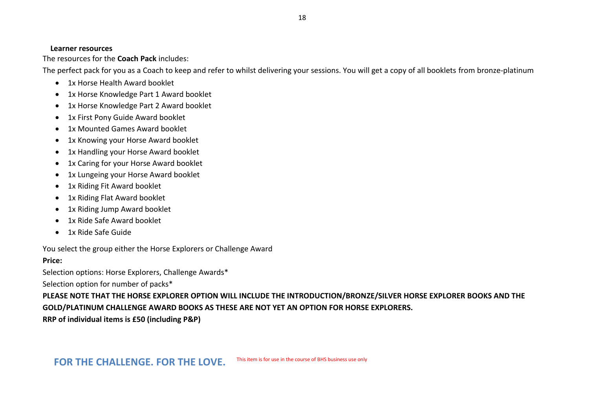The resources for the **Coach Pack** includes:

The perfect pack for you as a Coach to keep and refer to whilst delivering your sessions. You will get a copy of all booklets from bronze-platinum

- 1x Horse Health Award booklet
- 1x Horse Knowledge Part 1 Award booklet
- 1x Horse Knowledge Part 2 Award booklet
- 1x First Pony Guide Award booklet
- 1x Mounted Games Award booklet
- 1x Knowing your Horse Award booklet
- 1x Handling your Horse Award booklet
- 1x Caring for your Horse Award booklet
- 1x Lungeing your Horse Award booklet
- 1x Riding Fit Award booklet
- 1x Riding Flat Award booklet
- 1x Riding Jump Award booklet
- 1x Ride Safe Award booklet
- 1x Ride Safe Guide

You select the group either the Horse Explorers or Challenge Award

# **Price:**

Selection options: Horse Explorers, Challenge Awards\*

Selection option for number of packs\*

**PLEASE NOTE THAT THE HORSE EXPLORER OPTION WILL INCLUDE THE INTRODUCTION/BRONZE/SILVER HORSE EXPLORER BOOKS AND THE GOLD/PLATINUM CHALLENGE AWARD BOOKS AS THESE ARE NOT YET AN OPTION FOR HORSE EXPLORERS.**

**RRP of individual items is £50 (including P&P)**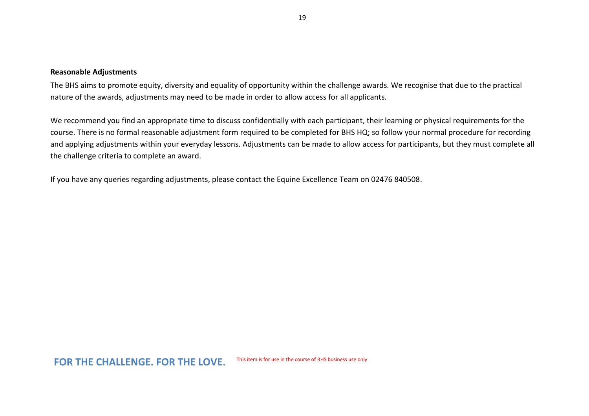#### **Reasonable Adjustments**

The BHS aims to promote equity, diversity and equality of opportunity within the challenge awards. We recognise that due to the practical nature of the awards, adjustments may need to be made in order to allow access for all applicants.

We recommend you find an appropriate time to discuss confidentially with each participant, their learning or physical requirements for the course. There is no formal reasonable adjustment form required to be completed for BHS HQ; so follow your normal procedure for recording and applying adjustments within your everyday lessons. Adjustments can be made to allow access for participants, but they must complete all the challenge criteria to complete an award.

If you have any queries regarding adjustments, please contact the Equine Excellence Team on 02476 840508.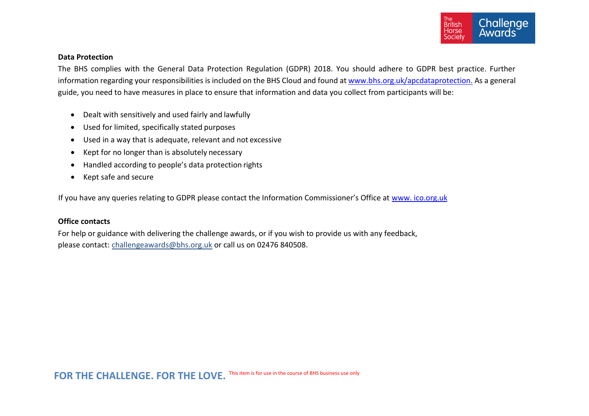

#### **Data Protection**

The BHS complies with the General Data Protection Regulation (GDPR) 2018. You should adhere to GDPR best practice. Further information regarding your responsibilities is included on the BHS Cloud and found at [www.bhs.org.uk/apcdataprotection.](http://www.bhs.org.uk/apcdataprotection) As a general guide, you need to have measures in place to ensure that information and data you collect from participants will be:

- Dealt with sensitively and used fairly and lawfully
- Used for limited, specifically stated purposes
- Used in a way that is adequate, relevant and not excessive
- Kept for no longer than is absolutely necessary
- Handled according to people's data protection rights
- Kept safe and secure

If you have any queries relating to GDPR please contact the Information Commissioner's Office at [www. ico.org.uk](http://www.ico.org.uk/)

#### **Office contacts**

For help or guidance with delivering the challenge awards, or if you wish to provide us with any feedback, please contact: [challengeawards@bhs.org.uk](mailto:challengeawards@bhs.org.uk) or call us on 02476 840508.